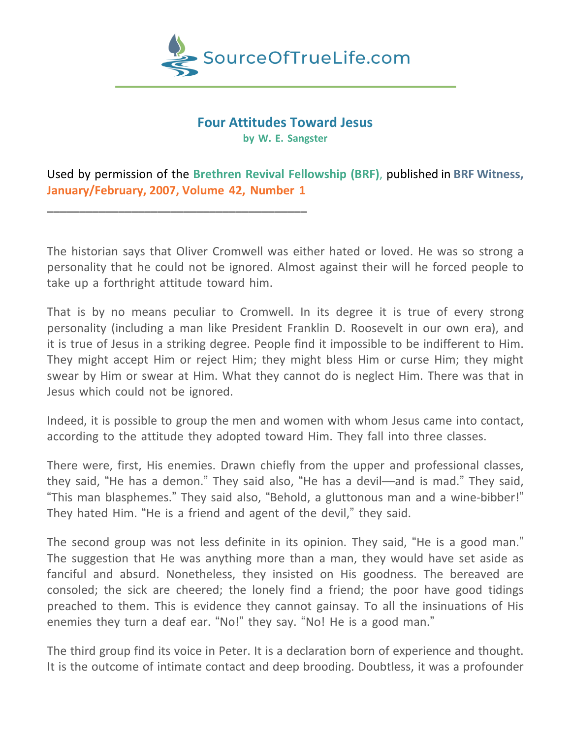

# **Four Attitudes Toward Jesus**

**by W. E. Sangster**

Used by permission of the **Brethren Revival Fellowship (BRF)**, published in **BRF Witness, January/February, 2007, Volume 42, Number 1**

\_\_\_\_\_\_\_\_\_\_\_\_\_\_\_\_\_\_\_\_\_\_\_\_\_\_\_\_\_\_\_\_\_\_\_\_\_\_\_\_

The historian says that Oliver Cromwell was either hated or loved. He was so strong a personality that he could not be ignored. Almost against their will he forced people to take up a forthright attitude toward him.

That is by no means peculiar to Cromwell. In its degree it is true of every strong personality (including a man like President Franklin D. Roosevelt in our own era), and it is true of Jesus in a striking degree. People find it impossible to be indifferent to Him. They might accept Him or reject Him; they might bless Him or curse Him; they might swear by Him or swear at Him. What they cannot do is neglect Him. There was that in Jesus which could not be ignored.

Indeed, it is possible to group the men and women with whom Jesus came into contact, according to the attitude they adopted toward Him. They fall into three classes.

There were, first, His enemies. Drawn chiefly from the upper and professional classes, they said, "He has a demon." They said also, "He has a devil—and is mad." They said, "This man blasphemes." They said also, "Behold, a gluttonous man and a wine-bibber!" They hated Him. "He is a friend and agent of the devil," they said.

The second group was not less definite in its opinion. They said, "He is a good man." The suggestion that He was anything more than a man, they would have set aside as fanciful and absurd. Nonetheless, they insisted on His goodness. The bereaved are consoled; the sick are cheered; the lonely find a friend; the poor have good tidings preached to them. This is evidence they cannot gainsay. To all the insinuations of His enemies they turn a deaf ear. "No!" they say. "No! He is a good man."

The third group find its voice in Peter. It is a declaration born of experience and thought. It is the outcome of intimate contact and deep brooding. Doubtless, it was a profounder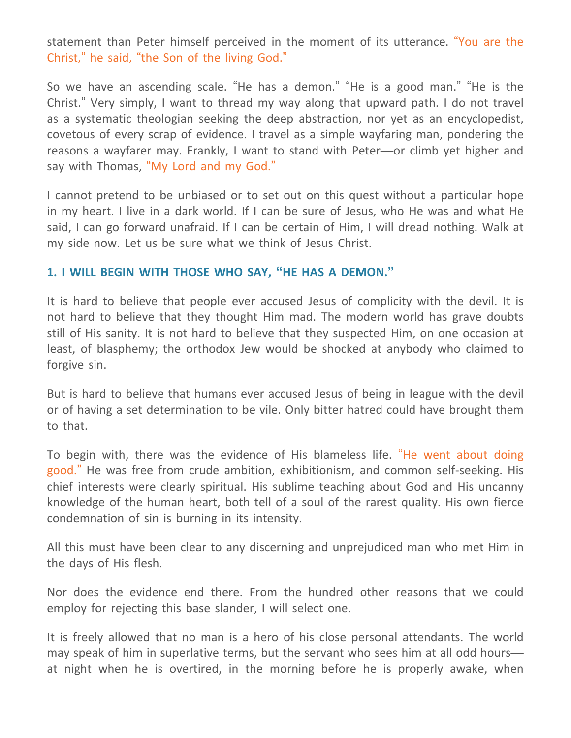statement than Peter himself perceived in the moment of its utterance. "You are the Christ," he said, "the Son of the living God."

So we have an ascending scale. "He has a demon." "He is a good man." "He is the Christ." Very simply, I want to thread my way along that upward path. I do not travel as a systematic theologian seeking the deep abstraction, nor yet as an encyclopedist, covetous of every scrap of evidence. I travel as a simple wayfaring man, pondering the reasons a wayfarer may. Frankly, I want to stand with Peter—or climb yet higher and say with Thomas, "My Lord and my God."

I cannot pretend to be unbiased or to set out on this quest without a particular hope in my heart. I live in a dark world. If I can be sure of Jesus, who He was and what He said, I can go forward unafraid. If I can be certain of Him, I will dread nothing. Walk at my side now. Let us be sure what we think of Jesus Christ.

## **1. I WILL BEGIN WITH THOSE WHO SAY, "HE HAS A DEMON."**

It is hard to believe that people ever accused Jesus of complicity with the devil. It is not hard to believe that they thought Him mad. The modern world has grave doubts still of His sanity. It is not hard to believe that they suspected Him, on one occasion at least, of blasphemy; the orthodox Jew would be shocked at anybody who claimed to forgive sin.

But is hard to believe that humans ever accused Jesus of being in league with the devil or of having a set determination to be vile. Only bitter hatred could have brought them to that.

To begin with, there was the evidence of His blameless life. "He went about doing good." He was free from crude ambition, exhibitionism, and common self-seeking. His chief interests were clearly spiritual. His sublime teaching about God and His uncanny knowledge of the human heart, both tell of a soul of the rarest quality. His own fierce condemnation of sin is burning in its intensity.

All this must have been clear to any discerning and unprejudiced man who met Him in the days of His flesh.

Nor does the evidence end there. From the hundred other reasons that we could employ for rejecting this base slander, I will select one.

It is freely allowed that no man is a hero of his close personal attendants. The world may speak of him in superlative terms, but the servant who sees him at all odd hours at night when he is overtired, in the morning before he is properly awake, when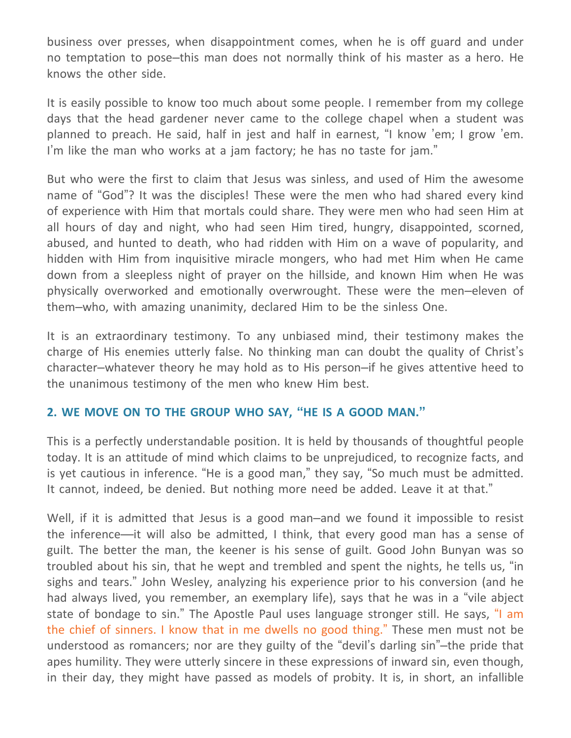business over presses, when disappointment comes, when he is off guard and under no temptation to pose–this man does not normally think of his master as a hero. He knows the other side.

It is easily possible to know too much about some people. I remember from my college days that the head gardener never came to the college chapel when a student was planned to preach. He said, half in jest and half in earnest, "I know 'em; I grow 'em. I'm like the man who works at a jam factory; he has no taste for jam."

But who were the first to claim that Jesus was sinless, and used of Him the awesome name of "God"? It was the disciples! These were the men who had shared every kind of experience with Him that mortals could share. They were men who had seen Him at all hours of day and night, who had seen Him tired, hungry, disappointed, scorned, abused, and hunted to death, who had ridden with Him on a wave of popularity, and hidden with Him from inquisitive miracle mongers, who had met Him when He came down from a sleepless night of prayer on the hillside, and known Him when He was physically overworked and emotionally overwrought. These were the men–eleven of them–who, with amazing unanimity, declared Him to be the sinless One.

It is an extraordinary testimony. To any unbiased mind, their testimony makes the charge of His enemies utterly false. No thinking man can doubt the quality of Christ's character–whatever theory he may hold as to His person–if he gives attentive heed to the unanimous testimony of the men who knew Him best.

## **2. WE MOVE ON TO THE GROUP WHO SAY, "HE IS A GOOD MAN."**

This is a perfectly understandable position. It is held by thousands of thoughtful people today. It is an attitude of mind which claims to be unprejudiced, to recognize facts, and is yet cautious in inference. "He is a good man," they say, "So much must be admitted. It cannot, indeed, be denied. But nothing more need be added. Leave it at that."

Well, if it is admitted that Jesus is a good man–and we found it impossible to resist the inference—it will also be admitted, I think, that every good man has a sense of guilt. The better the man, the keener is his sense of guilt. Good John Bunyan was so troubled about his sin, that he wept and trembled and spent the nights, he tells us, "in sighs and tears." John Wesley, analyzing his experience prior to his conversion (and he had always lived, you remember, an exemplary life), says that he was in a "vile abject state of bondage to sin." The Apostle Paul uses language stronger still. He says, "I am the chief of sinners. I know that in me dwells no good thing." These men must not be understood as romancers; nor are they guilty of the "devil's darling sin"–the pride that apes humility. They were utterly sincere in these expressions of inward sin, even though, in their day, they might have passed as models of probity. It is, in short, an infallible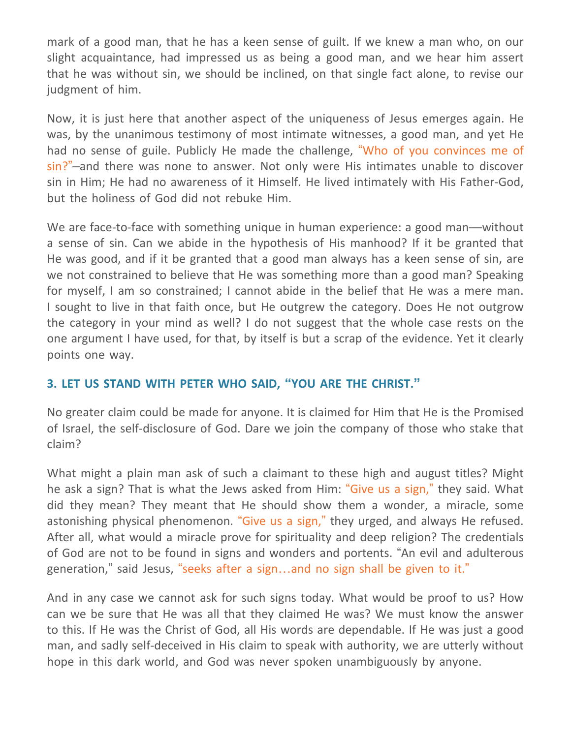mark of a good man, that he has a keen sense of guilt. If we knew a man who, on our slight acquaintance, had impressed us as being a good man, and we hear him assert that he was without sin, we should be inclined, on that single fact alone, to revise our judgment of him.

Now, it is just here that another aspect of the uniqueness of Jesus emerges again. He was, by the unanimous testimony of most intimate witnesses, a good man, and yet He had no sense of guile. Publicly He made the challenge, "Who of you convinces me of sin?"–and there was none to answer. Not only were His intimates unable to discover sin in Him; He had no awareness of it Himself. He lived intimately with His Father-God, but the holiness of God did not rebuke Him.

We are face-to-face with something unique in human experience: a good man—without a sense of sin. Can we abide in the hypothesis of His manhood? If it be granted that He was good, and if it be granted that a good man always has a keen sense of sin, are we not constrained to believe that He was something more than a good man? Speaking for myself, I am so constrained; I cannot abide in the belief that He was a mere man. I sought to live in that faith once, but He outgrew the category. Does He not outgrow the category in your mind as well? I do not suggest that the whole case rests on the one argument I have used, for that, by itself is but a scrap of the evidence. Yet it clearly points one way.

### **3. LET US STAND WITH PETER WHO SAID, "YOU ARE THE CHRIST."**

No greater claim could be made for anyone. It is claimed for Him that He is the Promised of Israel, the self-disclosure of God. Dare we join the company of those who stake that claim?

What might a plain man ask of such a claimant to these high and august titles? Might he ask a sign? That is what the Jews asked from Him: "Give us a sign," they said. What did they mean? They meant that He should show them a wonder, a miracle, some astonishing physical phenomenon. "Give us a sign," they urged, and always He refused. After all, what would a miracle prove for spirituality and deep religion? The credentials of God are not to be found in signs and wonders and portents. "An evil and adulterous generation," said Jesus, "seeks after a sign…and no sign shall be given to it."

And in any case we cannot ask for such signs today. What would be proof to us? How can we be sure that He was all that they claimed He was? We must know the answer to this. If He was the Christ of God, all His words are dependable. If He was just a good man, and sadly self-deceived in His claim to speak with authority, we are utterly without hope in this dark world, and God was never spoken unambiguously by anyone.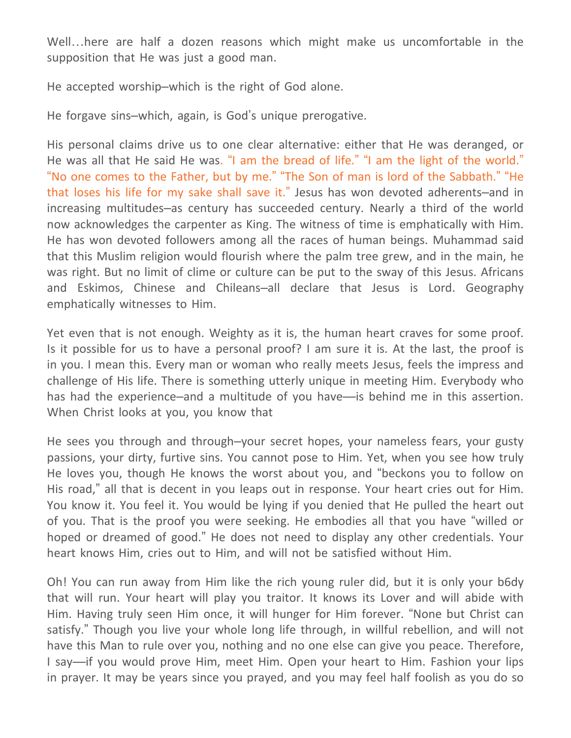Well…here are half a dozen reasons which might make us uncomfortable in the supposition that He was just a good man.

He accepted worship–which is the right of God alone.

He forgave sins–which, again, is God's unique prerogative.

His personal claims drive us to one clear alternative: either that He was deranged, or He was all that He said He was. "I am the bread of life." "I am the light of the world." "No one comes to the Father, but by me." "The Son of man is lord of the Sabbath." "He that loses his life for my sake shall save it." Jesus has won devoted adherents–and in increasing multitudes–as century has succeeded century. Nearly a third of the world now acknowledges the carpenter as King. The witness of time is emphatically with Him. He has won devoted followers among all the races of human beings. Muhammad said that this Muslim religion would flourish where the palm tree grew, and in the main, he was right. But no limit of clime or culture can be put to the sway of this Jesus. Africans and Eskimos, Chinese and Chileans–all declare that Jesus is Lord. Geography emphatically witnesses to Him.

Yet even that is not enough. Weighty as it is, the human heart craves for some proof. Is it possible for us to have a personal proof? I am sure it is. At the last, the proof is in you. I mean this. Every man or woman who really meets Jesus, feels the impress and challenge of His life. There is something utterly unique in meeting Him. Everybody who has had the experience–and a multitude of you have—is behind me in this assertion. When Christ looks at you, you know that

He sees you through and through–your secret hopes, your nameless fears, your gusty passions, your dirty, furtive sins. You cannot pose to Him. Yet, when you see how truly He loves you, though He knows the worst about you, and "beckons you to follow on His road," all that is decent in you leaps out in response. Your heart cries out for Him. You know it. You feel it. You would be lying if you denied that He pulled the heart out of you. That is the proof you were seeking. He embodies all that you have "willed or hoped or dreamed of good." He does not need to display any other credentials. Your heart knows Him, cries out to Him, and will not be satisfied without Him.

Oh! You can run away from Him like the rich young ruler did, but it is only your b6dy that will run. Your heart will play you traitor. It knows its Lover and will abide with Him. Having truly seen Him once, it will hunger for Him forever. "None but Christ can satisfy." Though you live your whole long life through, in willful rebellion, and will not have this Man to rule over you, nothing and no one else can give you peace. Therefore, I say—if you would prove Him, meet Him. Open your heart to Him. Fashion your lips in prayer. It may be years since you prayed, and you may feel half foolish as you do so